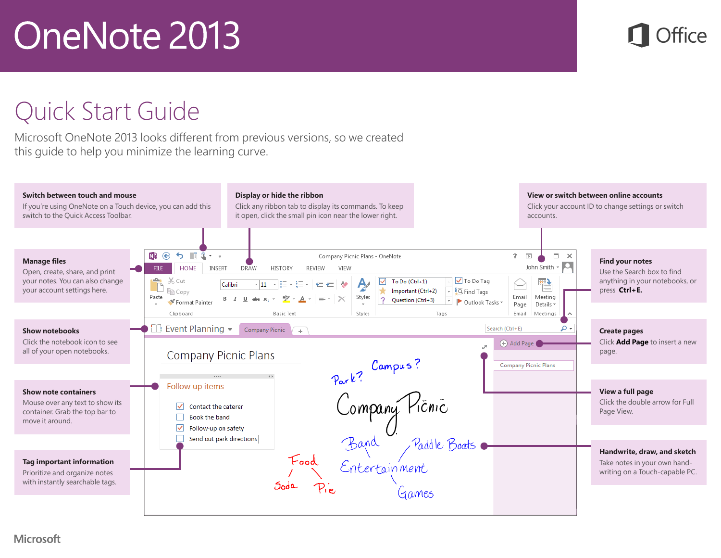#### Quick Start Guide

Microsoft OneNote 2013 looks different from previous versions, so we created this guide to help you minimize the learning curve.

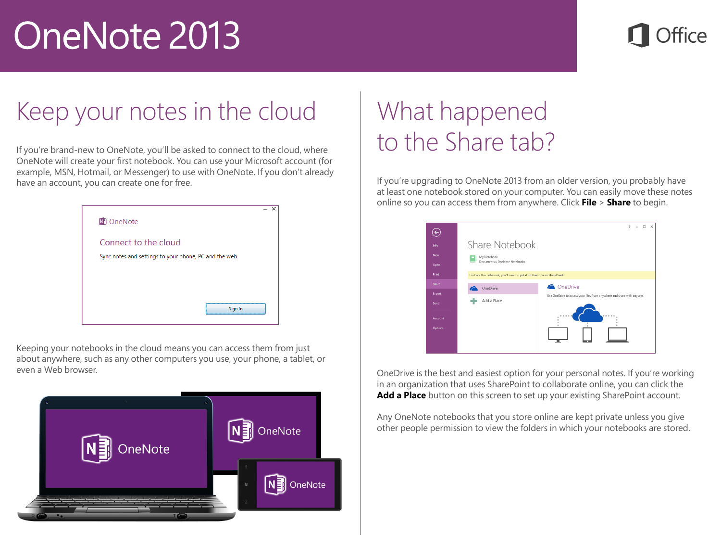#### Keep your notes in the cloud

If you're brand-new to OneNote, you'll be asked to connect to the cloud, where OneNote will create your first notebook. You can use your Microsoft account (for example, MSN, Hotmail, or Messenger) to use with OneNote. If you don't already have an account, you can create one for free.

| N <sub>B</sub> OneNote                                 | ×<br>$\overline{\phantom{0}}$ |  |
|--------------------------------------------------------|-------------------------------|--|
| Connect to the cloud                                   |                               |  |
| Sync notes and settings to your phone, PC and the web. |                               |  |
|                                                        |                               |  |
|                                                        |                               |  |
| Sign In                                                |                               |  |
|                                                        |                               |  |

Keeping your notebooks in the cloud means you can access them from just about anywhere, such as any other computers you use, your phone, a tablet, or even a Web browser. OneDrive is the best and easiest option for your personal notes. If you're working



#### What happened to the Share tab?

If you're upgrading to OneNote 2013 from an older version, you probably have at least one notebook stored on your computer. You can easily move these notes online so you can access them from anywhere. Click **File** > **Share** to begin.

| $\overline{\leftarrow}$ |                                                                          | $\neg x$<br>$\overline{\phantom{a}}$                                   |
|-------------------------|--------------------------------------------------------------------------|------------------------------------------------------------------------|
| Info                    | Share Notebook                                                           |                                                                        |
| New                     | My Notebook                                                              |                                                                        |
| Open                    | Documents » OneNote Notebooks                                            |                                                                        |
| Print                   | To share this notebook, you'll need to put it on OneDrive or SharePoint. |                                                                        |
| Share                   | OneDrive                                                                 | <b>C</b> OneDrive                                                      |
| Export                  |                                                                          | Use OneDrive to access your files from anywhere and share with anyone. |
| Send                    | Add a Place                                                              |                                                                        |
| Account                 |                                                                          | 0.0.0.0                                                                |
|                         |                                                                          |                                                                        |
| Options                 |                                                                          |                                                                        |
|                         |                                                                          |                                                                        |
|                         |                                                                          |                                                                        |

in an organization that uses SharePoint to collaborate online, you can click the Add a Place button on this screen to set up your existing SharePoint account.

Any OneNote notebooks that you store online are kept private unless you give other people permission to view the folders in which your notebooks are stored.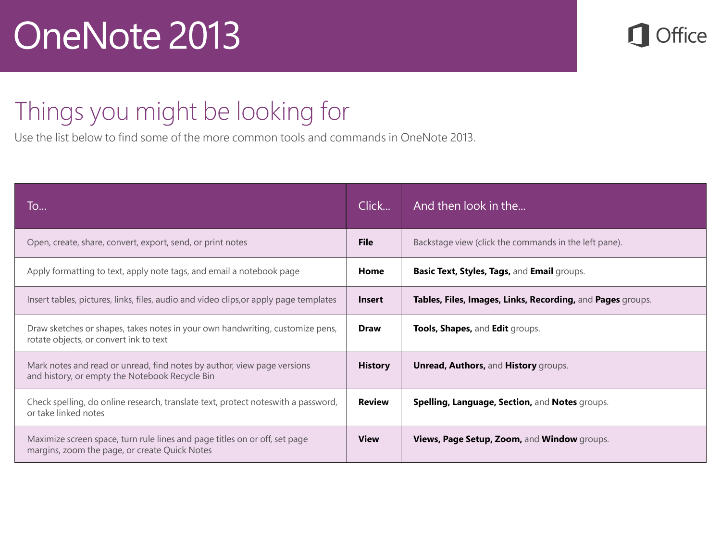

#### Things you might be looking for

Use the list below to find some of the more common tools and commands in OneNote 2013.

| To                                                                                                                          | Click          | And then look in the                                       |
|-----------------------------------------------------------------------------------------------------------------------------|----------------|------------------------------------------------------------|
| Open, create, share, convert, export, send, or print notes                                                                  | <b>File</b>    | Backstage view (click the commands in the left pane).      |
| Apply formatting to text, apply note tags, and email a notebook page                                                        | Home           | Basic Text, Styles, Tags, and Email groups.                |
| Insert tables, pictures, links, files, audio and video clips, or apply page templates                                       | <b>Insert</b>  | Tables, Files, Images, Links, Recording, and Pages groups. |
| Draw sketches or shapes, takes notes in your own handwriting, customize pens,<br>rotate objects, or convert ink to text     | <b>Draw</b>    | Tools, Shapes, and Edit groups.                            |
| Mark notes and read or unread, find notes by author, view page versions<br>and history, or empty the Notebook Recycle Bin   | <b>History</b> | <b>Unread, Authors, and History groups.</b>                |
| Check spelling, do online research, translate text, protect notes with a password,<br>or take linked notes                  | <b>Review</b>  | Spelling, Language, Section, and Notes groups.             |
| Maximize screen space, turn rule lines and page titles on or off, set page<br>margins, zoom the page, or create Quick Notes | <b>View</b>    | Views, Page Setup, Zoom, and Window groups.                |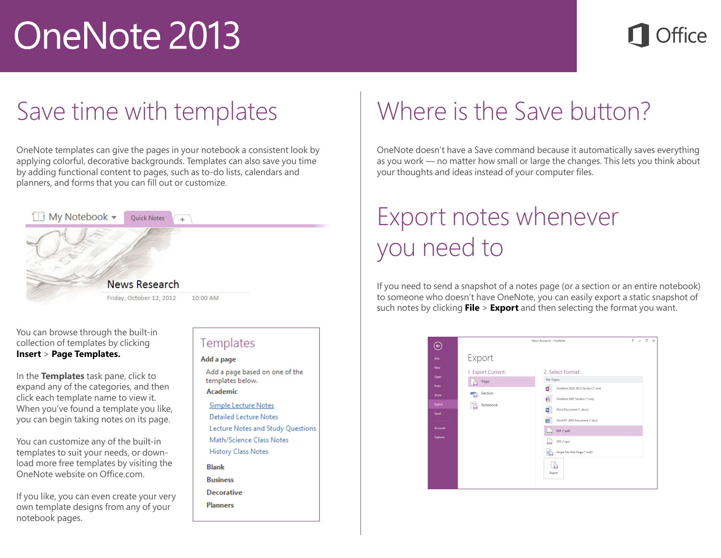### ffice

#### Save time with templates

OneNote templates can give the pages in your notebook a consistent look by applying colorful, decorative backgrounds. Templates can also save you time by adding functional content to pages, such as to-do lists, calendars and planners, and forms that you can fill out or customize.



You can browse through the built-in collection of templates by clicking **Insert** > **Page Templates.**

In the **Templates** task pane, click to expand any of the categories, and then click each template name to view it. When you've found a template you like, you can begin taking notes on its page.

You can customize any of the built-in templates to suit your needs, or download more free templates by visiting the OneNote website on Office.com.

If you like, you can even create your very own template designs from any of your notebook pages.

#### Templates Add a page Add a page based on one of the templates below. Academic **Simple Lecture Notes Detailed Lecture Notes** Lecture Notes and Study Questions Math/Science Class Notes **History Class Notes Blank Business Decorative Planners**

#### Where is the Save button?

OneNote doesn't have a Save command because it automatically saves everything as you work — no matter how small or large the changes. This lets you think about your thoughts and ideas instead of your computer files.

#### Export notes whenever you need to

If you need to send a snapshot of a notes page (or a section or an entire notebook) to someone who doesn't have OneNote, you can easily export a static snapshot of such notes by clicking **File** > **Export** and then selecting the format you want.

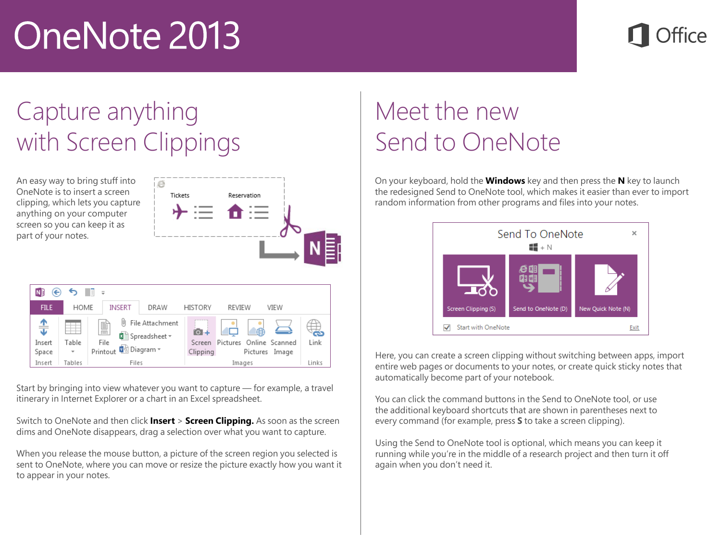#### Capture anything with Screen Clippings

ie

An easy way to bring stuff into OneNote is to insert a screen clipping anythir screen part of

| N.<br>∈<br><b>FILE</b><br>HOME<br><b>INSERT</b><br>DRAW<br><b>HISTORY</b><br>REVIEW<br>VIEW<br>$\triangleq$<br>画<br>File Attachment<br>閶<br>$0+$<br>õ<br><b>和前 Spreadsheet</b> ~<br>Link<br>Table<br>File<br>Online Scanned<br>Insert<br>Pictures<br>Screen<br>■ Diagram ▼<br>Printout<br>Clipping<br>Space<br>Pictures Image<br>Links | ving, which lets you capture<br>hing on your computer<br>en so you can keep it as<br>of your notes. | Tickets<br>Reservation |  |  |  |  |  |
|----------------------------------------------------------------------------------------------------------------------------------------------------------------------------------------------------------------------------------------------------------------------------------------------------------------------------------------|-----------------------------------------------------------------------------------------------------|------------------------|--|--|--|--|--|
|                                                                                                                                                                                                                                                                                                                                        |                                                                                                     |                        |  |  |  |  |  |
|                                                                                                                                                                                                                                                                                                                                        |                                                                                                     |                        |  |  |  |  |  |
|                                                                                                                                                                                                                                                                                                                                        |                                                                                                     |                        |  |  |  |  |  |
|                                                                                                                                                                                                                                                                                                                                        | Insert<br>Tables<br>Files                                                                           | Images                 |  |  |  |  |  |

Start by bringing into view whatever you want to capture — for example, a travel itinerary in Internet Explorer or a chart in an Excel spreadsheet.

Switch to OneNote and then click **Insert** > **Screen Clipping.** As soon as the screen dims and OneNote disappears, drag a selection over what you want to capture.

When you release the mouse button, a picture of the screen region you selected is sent to OneNote, where you can move or resize the picture exactly how you want it to appear in your notes.

#### Meet the new Send to OneNote

On your keyboard, hold the **Windows** key and then press the **N** key to launch the redesigned Send to OneNote tool, which makes it easier than ever to import random information from other programs and files into your notes.



Here, you can create a screen clipping without switching between apps, import entire web pages or documents to your notes, or create quick sticky notes that automatically become part of your notebook.

You can click the command buttons in the Send to OneNote tool, or use the additional keyboard shortcuts that are shown in parentheses next to every command (for example, press **S** to take a screen clipping).

Using the Send to OneNote tool is optional, which means you can keep it running while you're in the middle of a research project and then turn it off again when you don't need it.